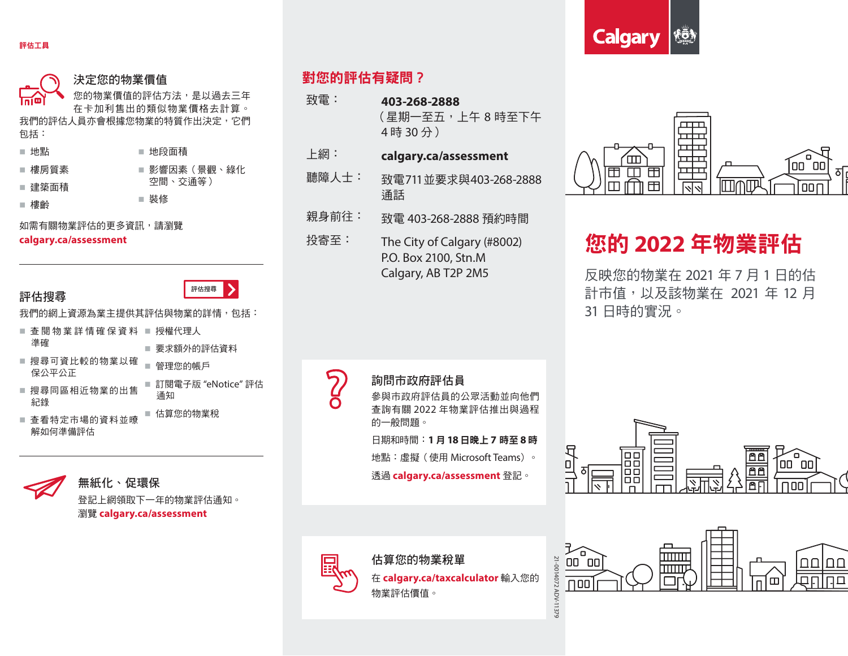



評估搜尋

#### 決定您的物業價值

業價值的評估方法,是以過去三年 在卡加利售出的類似物業價格去計算。 我們的評估人員亦會根據您物業的特質作出決定,它們

包括:

| ■ 地點   | ■ 地段面積       |
|--------|--------------|
| ■ 樓房質素 | ■ 影響因素(景觀、綠化 |
| ■ 建築面積 | 空間、交诵等)      |
| 樓齡     | ■ 裝修         |

如需有關物業評估的更多資訊,請瀏覽 **calgary.ca/assessment**

## 評估搜尋

- 我們的網上資源為業主提供其評估與物業的詳情,包括:
- 查閱物業詳情確保資料 授權代理人 準確 ■ 要求額外的評估資料
- 搜尋可資比較的物業以確 保公平公正 ■ 管理您的帳戶 ■ 訂閱電子版 "eNotice" 評估
- 搜尋同區相近物業的出售 紀錄
- 查看特定市場的資料並暸 解如何準備評估 估算您的物業稅



登記上網領取下一年的物業評估通知。 瀏覽 **calgary.ca/assessment**

通知

# 對您的評估有疑問?

- 致電: **403-268-2888** (星期一至五,上午 8 時至下午 4 時 30 分)
- 上網: **calgary.ca/assessment**
- 聽障人士: 致電711並要求與403-268-2888 通話
- 親身前往: 致電 403-268-2888 預約時間
- 投寄至: The City of Calgary (#8002) P.O. Box 2100, Stn.M Calgary, AB T2P 2M5



# 您的 **2022** 年物業評估

反映您的物業在 2021 年 7 月 1 日的估 計市值,以及該物業在 2021 年 12 月 31 日時的實況。



### 詢問市政府評估員

參與市政府評估員的公眾活動並向他們 查詢有關 2022 年物業評估推出與過程 的一般問題。

日期和時間:**1** 月 **18** 日晚上 **7** 時至 **8** 時

地點:虛擬(使用 Microsoft Teams)。

透過 **calgary.ca/assessment** 登記。



估算您的物業稅單 在 **calgary.ca/taxcalculator** 輸入您的 物業評估價值。